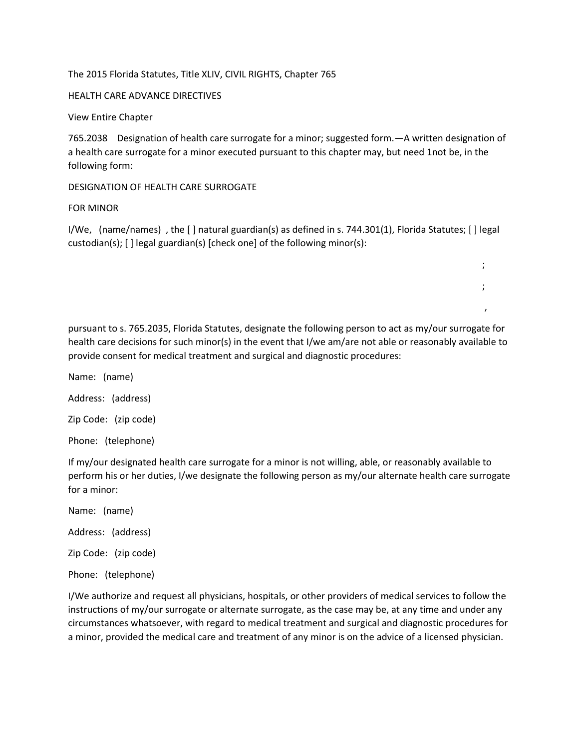## The 2015 Florida Statutes, Title XLIV, CIVIL RIGHTS, Chapter 765

## HEALTH CARE ADVANCE DIRECTIVES

View Entire Chapter

765.2038 Designation of health care surrogate for a minor; suggested form.—A written designation of a health care surrogate for a minor executed pursuant to this chapter may, but need 1not be, in the following form:

## DESIGNATION OF HEALTH CARE SURROGATE

## FOR MINOR

I/We, (name/names) , the [ ] natural guardian(s) as defined in s. 744.301(1), Florida Statutes; [ ] legal custodian(s); [ ] legal guardian(s) [check one] of the following minor(s):

 $\mathcal{L}$  ; the contract of the contract of the contract of the contract of the contract of the contract of the contract of the contract of the contract of the contract of the contract of the contract of the contract of th

 $\mathcal{L}$  ; the contract of the contract of the contract of the contract of the contract of the contract of the contract of the contract of the contract of the contract of the contract of the contract of the contract of th

, where the contract of the contract of  $\mathcal{L}$ 

pursuant to s. 765.2035, Florida Statutes, designate the following person to act as my/our surrogate for health care decisions for such minor(s) in the event that I/we am/are not able or reasonably available to provide consent for medical treatment and surgical and diagnostic procedures:

Name: (name)

Address: (address)

Zip Code: (zip code)

Phone: (telephone)

If my/our designated health care surrogate for a minor is not willing, able, or reasonably available to perform his or her duties, I/we designate the following person as my/our alternate health care surrogate for a minor:

Name: (name)

Address: (address)

Zip Code: (zip code)

Phone: (telephone)

I/We authorize and request all physicians, hospitals, or other providers of medical services to follow the instructions of my/our surrogate or alternate surrogate, as the case may be, at any time and under any circumstances whatsoever, with regard to medical treatment and surgical and diagnostic procedures for a minor, provided the medical care and treatment of any minor is on the advice of a licensed physician.